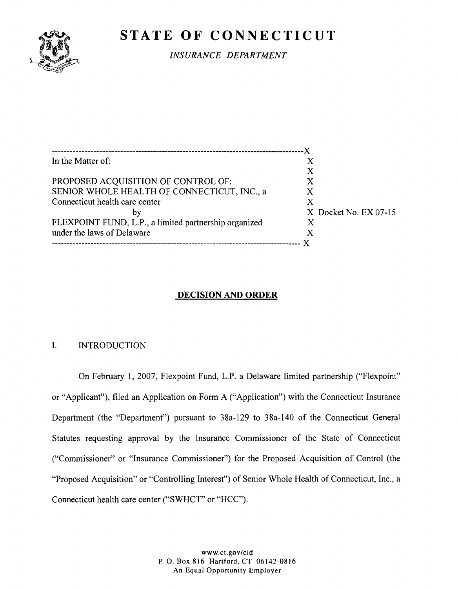

# **STATE OF CONNECTICUT**

*INSURANCE DEPARTMENT* 

| In the Matter of:                                     | X                       |
|-------------------------------------------------------|-------------------------|
|                                                       | Х                       |
| PROPOSED ACQUISITION OF CONTROL OF:                   |                         |
| SENIOR WHOLE HEALTH OF CONNECTICUT, INC., a           | X                       |
| Connecticut health care center                        | X                       |
| bv                                                    | $X$ Docket No. EX 07-15 |
| FLEXPOINT FUND, L.P., a limited partnership organized |                         |
| under the laws of Delaware                            | X                       |
|                                                       |                         |

### **DECISION AND ORDER**

### I. INTRODUCTION

On February 1, 2007, Flexpoint Fund, L.P. a Delaware limited partnership ("Flexpoint" or "Applicant"), filed an Application on Form A ("Application") with the Connecticut Insurance Department (the "Department") pursuant to 38a-129 to 38a-140 of the Connecticut General Statutes requesting approval by the Insurance Commissioner of the State of Connecticut (('Commissioner" or "Insurance Commissioner") for the Proposed Acquisition of Control (the "Proposed Acquisition" or "Controlling Interest") of Senior Whole Health of Connecticut, Inc., a Connecticut health care center ("SWHCT" or "HCC").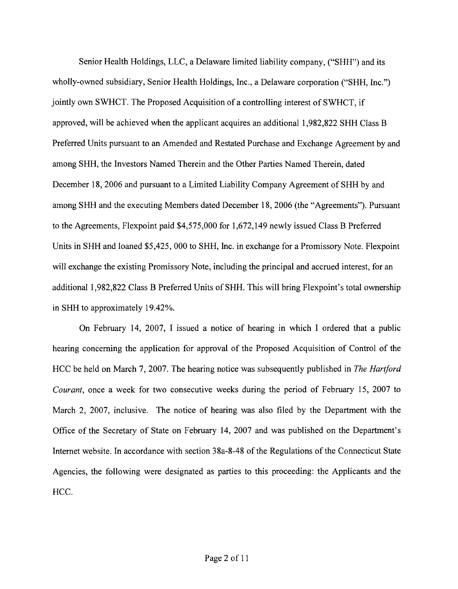Senior Health Holdings, LLC, a Delaware limited liability company, ("SHH") and its wholly-owned subsidiary, Senior Health Holdings, Inc., a Delaware corporation ("SHH, Inc.") jointly own SWHCT. The Proposed Acquisition of a controlling interest of SWHCT, if approved, will be achieved when the applicant acquires an additional 1,982,822 SHH Class B Preferred Units pursuant to an Amended and Restated Purchase and Exchange Agreement by and among SHH, the Investors Named Therein and the Other Parties Named Therein, dated December 18,2006 and pursuant to a Limited Liability Company Agreement of SHH by and among SHH and the executing Members dated December 18,2006 (the "Agreements"). Pursuant to the Agreements, Flexpoint paid \$4,575,000 for 1,672,149 newly issued Class B Preferred Units in SHH and loaned \$5,425, 000 to SHH, Inc. in exchange for a Promissory Note. Flexpoint will exchange the existing Promissory Note, including the principal and accrued interest, for an additional 1,982,822 Class B Preferred Units of SHH. This will bring Flexpoint's total ownership in SHH to approximately 19.42%.

On February 14, 2007, I issued a notice of hearing in which I ordered that a public hearing concerning the application for approval of the Proposed Acquisition of Control of the HCC be held on March 7, 2007. The hearing notice was subsequently published in The Hartford Courant, once a week for two consecutive weeks during the period of February 15, 2007 to March 2, 2007, inclusive. The notice of hearing was also filed by the Department with the Office of the Secretary of State on February 14, 2007 and was published on the Department's Internet website. In accordance with section 38a-8-48 of the Regulations of the Connecticut State Agencies, the following were designated as parties to this proceeding: the Applicants and the HCC.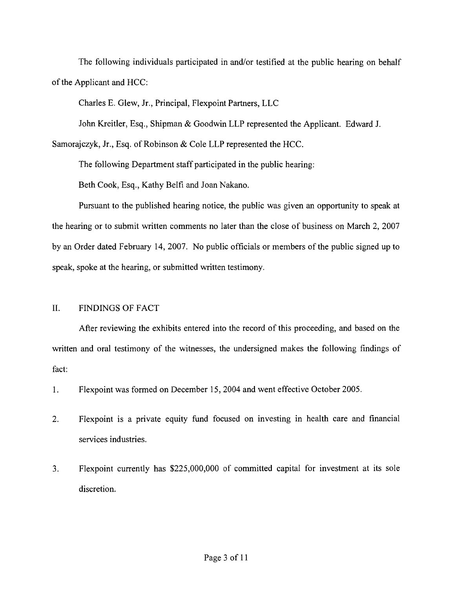The following individuals participated in and/or testified at the public hearing on behalf of the Applicant and HCC:

Charles E. Glew, Jr., Principal, Flexpoint Partners, LLC

John Kreitler, Esq., Shipman & Goodwin LLP represented the Applicant. Edward J.

Samorajczyk, Jr., Esq. of Robinson & Cole LLP represented the HCC.

The following Department staff participated in the public hearing:

Beth Cook, Esq., Kathy Belfi and Joan Nakano.

Pursuant to the published hearing notice, the public was given an opportunity to speak at the hearing or to submit written comments no later than the close of business on March 2, 2007 by an Order dated February 14, 2007. No public officials or members of the public signed up to speak, spoke at the hearing, or submitted written testimony.

## 11. FINDINGS OF FACT

After reviewing the exhibits entered into the record of this proceeding, and based on the written and oral testimony of the witnesses, the undersigned makes the following findings of fact:

1. Flexpoint was formed on December 15,2004 and went effective October 2005.

- 2. Flexpoint is a private equity fund focused on investing in health care and financial services industries.
- 3. Flexpoint currently has \$225,000,000 of committed capital for investment at its sole discretion.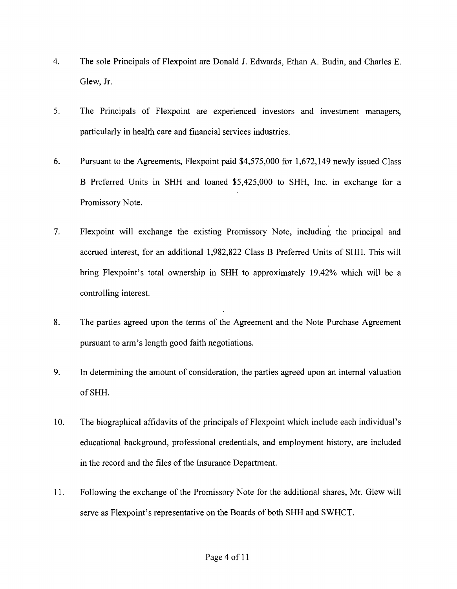- 4. The sole Principals of Flexpoint are Donald J. Edwards, Ethan A. Budin, and Charles E. Glew, Jr.
- 5. The Principals of Flexpoint are experienced investors and investment managers, particularly in health care and financial services industries.
- 6. Pursuant to the Agreements, Flexpoint paid \$4,575,000 for 1,672,149 newly issued Class B Preferred Units in SHH and loaned \$5,425,000 to SHH, Inc. in exchange for a Promissory Note.
- 7. Flexpoint will exchange the existing Promissory Note, including the principal and accrued interest, for an additional 1,982,822 Class B Preferred Units of SHH. This will bring Flexpoint's total ownership in SHH to approximately 19.42% which will be a controlling interest.
- 8. The parties agreed upon the terms of the Agreement and the Note Purchase Agreement pursuant to arm's length good faith negotiations.
- **9.** In determining the amount of consideration, the parties agreed upon an internal valuation of SHH.
- 10. The biographical affidavits of the principals of Flexpoint which include each individual's educational background, professional credentials, and employment history, are included in the record and the files of the Insurance Department.
- 11. Following the exchange of the Promissory Note for the additional shares, Mr. Glew will serve as Flexpoint's representative on the Boards of both SHH and SWHCT.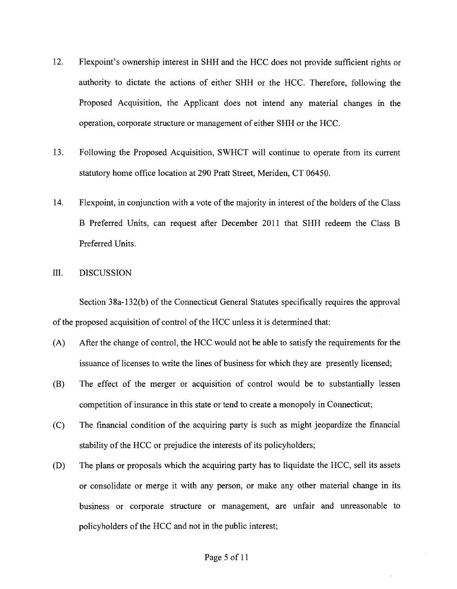- 12. Flexpoint's ownership interest in SHH and the HCC does not provide sufficient rights or authority to dictate the actions of either SHH or the HCC. Therefore, following the Proposed Acquisition, the Applicant does not intend any material changes in the operation, corporate structure or management of either SHH or the HCC.
- 13. Following the Proposed Acquisition, SWHCT will continue to operate from its current statutory home office location at 290 Pratt Street, Meriden, CT 06450.
- 14. Flexpoint, in conjunction with a vote of the majority in interest of the holders of the Class B Preferred Units, can request after December 2011 that SHH redeem the Class B Preferred Units.

#### 111. DISCUSSION

Section 38a-132(b) of the Connecticut General Statutes specifically requires the approval of the proposed acquisition of control of the HCC unless it is determined that:

- (A) After the change of control, the HCC would not be able to satisfy the requirements for the issuance of licenses to write the lines of business for which they are presently licensed;
- (B) The effect of the merger or acquisition of control would be to substantially lessen competition of insurance in this state or tend to create a monopoly in Connecticut;
- (C) The financial condition of the acquiring party is such as might jeopardize the financial stability of the HCC or prejudice the interests of its policyholders;
- (D) The plans or proposals which the acquiring party has to liquidate the HCC, sell its assets or consolidate or merge it with any person, or make any other material change in its business or corporate structure or management, are unfair and unreasonable to policyholders of the HCC and not in the public interest;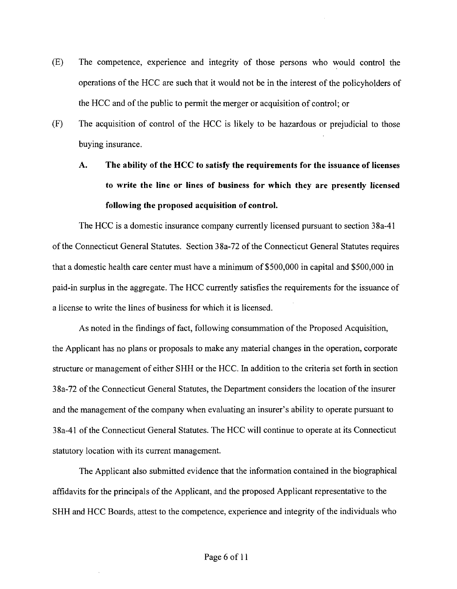- (E) The competence, experience and integrity of those persons who would control the operations of the HCC are such that it would not be in the interest of the policyholders of the HCC and of the public to permit the merger or acquisition of control; or
- (F) The acquisition of control of the HCC is likely to be hazardous or prejudicial to those buying insurance.

# **A. The ability of the HCC to satisfy the requirements for the issuance of licenses to write the line or lines of business for which they are presently licensed following the proposed acquisition of control.**

The HCC is a domestic insurance company currently licensed pursuant to section 38a-41 of the Connecticut General Statutes. Section 38a-72 of the Connecticut General Statutes requires that a domestic health care center must have a minimum of \$500,000 in capital and \$500,000 in paid-in surplus in the aggregate. The HCC currently satisfies the requirements for the issuance of a license to write the lines of business for which it is licensed.

As noted in the findings of fact, following consummation of the Proposed Acquisition, the Applicant has no plans or proposals to make any material changes in the operation, corporate structure or management of either SHH or the HCC. In addition to the criteria set forth in section 38a-72 of the Connecticut General Statutes, the Department considers the location of the insurer and the management of the company when evaluating an insurer's ability to operate pursuant to 38a-41 of the Connecticut General Statutes. The HCC will continue to operate at its Connecticut statutory location with its current management.

The Applicant also submitted evidence that the information contained in the biographical affidavits for the principals of the Applicant, and the proposed Applicant representative to the SHH and HCC Boards, attest to the competence, experience and integrity of the individuals who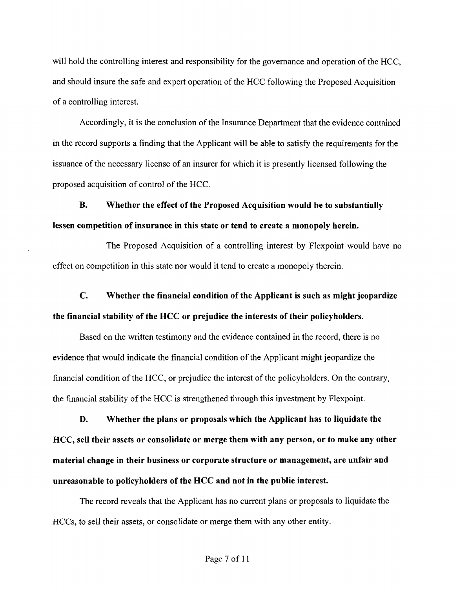will hold the controlling interest and responsibility for the governance and operation of the HCC, and should insure the safe and expert operation of the HCC following the Proposed Acquisition of a controlling interest.

Accordingly, it is the conclusion of the Insurance Department that the evidence contained in the record supports a finding that the Applicant will be able to satisfy the requirements for the issuance of the necessary license of an insurer for which it is presently licensed following the proposed acquisition of control of the HCC.

**B.** Whether the effect of the Proposed Acquisition would be to substantially lessen competition of insurance in this state or tend to create a monopoly herein.

The Proposed Acquisition of a controlling interest by Flexpoint would have no effect on competition in this state nor would it tend to create a monopoly therein.

C. Whether the financial condition of the Applicant is such as might jeopardize the financial stability of the HCC or prejudice the interests of their policyholders.

Based on the written testimony and the evidence contained in the record, there is no evidence that would indicate the financial condition of the Applicant might jeopardize the financial condition of the HCC, or prejudice the interest of the policyholders. On the contrary, the financial stability of the HCC is strengthened through this investment by Flexpoint.

**D.** Whether the plans or proposals which the Applicant has to liquidate the HCC, sell their assets or consolidate or merge them with any person, or to make any other material change in their business or corporate structure or management, are unfair and unreasonable to policyholders of the HCC and not in the public interest.

The record reveals that the Applicant has no current plans or proposals to liquidate the HCCs, to sell their assets, or consolidate or merge them with any other entity.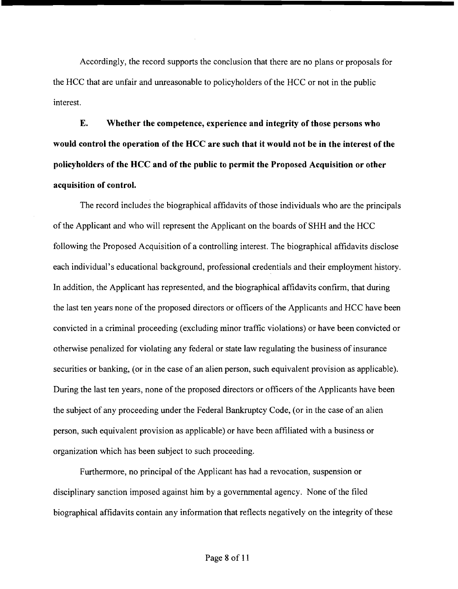Accordingly, the record supports the conclusion that there are no plans or proposals for the HCC that are unfair and unreasonable to policyholders of the HCC or not in the public interest.

**E. Whether the competence, experience and integrity of those persons who would control the operation of the HCC are such that it would not be in the interest of the policyholders of the HCC and of the public to permit the Proposed Acquisition or other acquisition of control.** 

The record includes the biographical affidavits of those individuals who are the principals of the Applicant and who will represent the Applicant on the boards of SHH and the HCC following the Proposed Acquisition of a controlling interest. The biographical affidavits disclose each individual's educational background, professional credentials and their employment history. In addition, the Applicant has represented, and the biographical affidavits confirm, that during the last ten years none of the proposed directors or officers of the Applicants and HCC have been convicted in a criminal proceeding (excluding minor traffic violations) or have been convicted or otherwise penalized for violating any federal or state law regulating the business of insurance securities or banking, (or in the case of an alien person, such equivalent provision as applicable). During the last ten years, none of the proposed directors or officers of the Applicants have been the subject of any proceeding under the Federal Bankruptcy Code, (or in the case of an alien person, such equivalent provision as applicable) or have been affiliated with a business or organization which has been subject to such proceeding.

Furthermore, no principal of the Applicant has had a revocation, suspension or disciplinary sanction imposed against him by a governmental agency. None of the filed biographical affidavits contain any information that reflects negatively on the integrity of these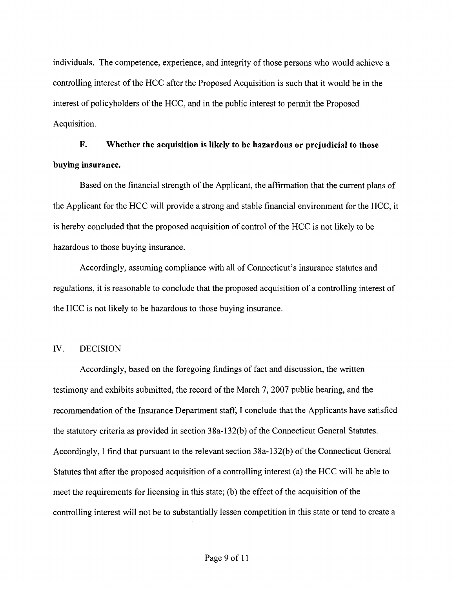individuals. The competence, experience, and integrity of those persons who would achieve a controlling interest of the HCC after the Proposed Acquisition is such that it would be in the interest of policyholders of the HCC, and in the public interest to permit the Proposed Acquisition.

# **F. Whether the acquisition is likely to be hazardous or prejudicial to those buying insurance.**

Based on the financial strength of the Applicant, the affirmation that the current plans of the Applicant for the HCC will provide a strong and stable financial environment for the HCC, it is hereby concluded that the proposed acquisition of control of the HCC is not likely to be hazardous to those buying insurance.

Accordingly, assuming compliance with all of Connecticut's insurance statutes and regulations, it is reasonable to conclude that the proposed acquisition of a controlling interest of the HCC is not likely to be hazardous to those buying insurance.

#### IV. DECISION

Accordingly, based on the foregoing findings of fact and discussion, the written testimony and exhibits submitted, the record of the March 7,2007 public hearing, and the recommendation of the Insurance Department staff, I conclude that the Applicants have satisfied the statutory criteria as provided in section 38a-132(b) of the Connecticut General Statutes. Accordingly, I find that pursuant to the relevant section 38a-132(b) of the Connecticut General Statutes that after the proposed acquisition of a controlling interest (a) the HCC will be able to meet the requirements for licensing in this state; (b) the effect of the acquisition of the controlling interest will not be to substantially lessen competition in this state or tend to create a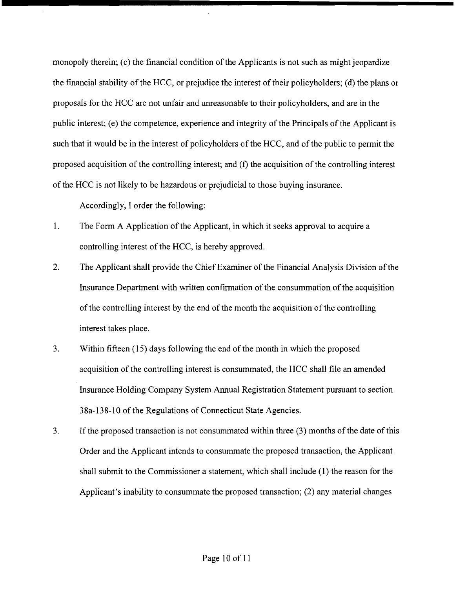monopoly therein; (c) the financial condition of the Applicants is not such as might jeopardize the financial stability of the HCC, or prejudice the interest of their policyholders; (d) the plans or proposals for the HCC are not unfair and unreasonable to their policyholders, and are in the public interest; (e) the competence, experience and integrity of the Principals of the Applicant is such that it would be in the interest of policyholders of the HCC, and of the public to permit the proposed acquisition of the controlling interest; and (f) the acquisition of the controlling interest of the HCC is not likely to be hazardous'or prejudicial to those buying insurance.

Accordingly, I order the following:

- 1. The Form A Application of the Applicant, in which it seeks approval to acquire a controlling interest of the HCC, is hereby approved.
- 2. The Applicant shall provide the Chief Examiner of the Financial Analysis Division of the Insurance Department with written confirmation of the consummation of the acquisition of the controlling interest by the end of the month the acquisition of the controlling interest takes place.
- 3. Within fifteen (15) days following the end of the month in which the proposed acquisition of the controlling interest is consummated, the HCC shall file an amended Insurance Holding Company System Annual Registration Statement pursuant to section 38a-138- 10 of the Regulations of Connecticut State Agencies.
- 3. If the proposed transaction is not consummated within three (3) months of the date of this Order and the Applicant intends to consummate the proposed transaction, the Applicant shall submit to the Commissioner a statement, which shall include (1) the reason for the Applicant's inability to consummate the proposed transaction; (2) any material changes